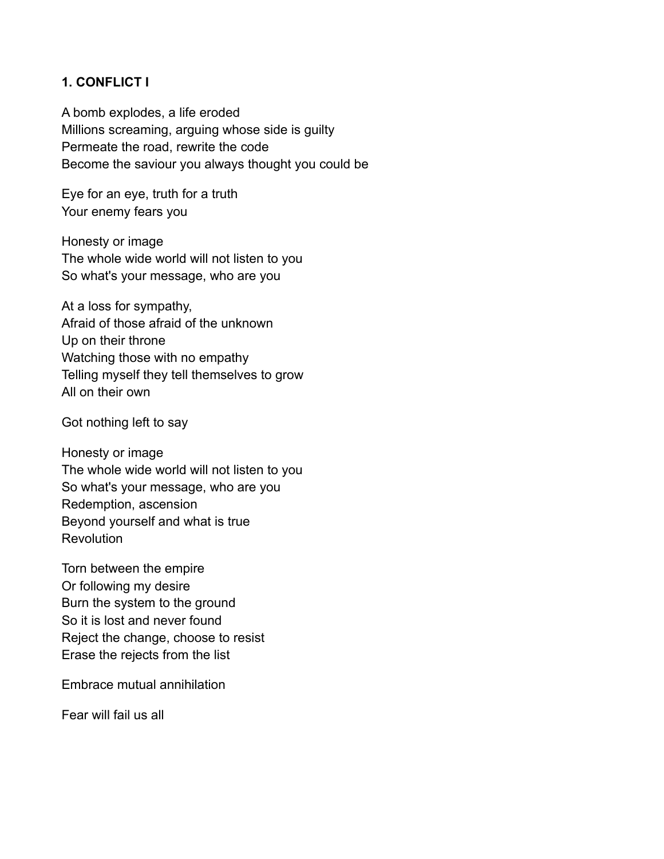# **1. CONFLICT I**

A bomb explodes, a life eroded Millions screaming, arguing whose side is guilty Permeate the road, rewrite the code Become the saviour you always thought you could be

Eye for an eye, truth for a truth Your enemy fears you

Honesty or image The whole wide world will not listen to you So what's your message, who are you

At a loss for sympathy, Afraid of those afraid of the unknown Up on their throne Watching those with no empathy Telling myself they tell themselves to grow All on their own

Got nothing left to say

Honesty or image The whole wide world will not listen to you So what's your message, who are you Redemption, ascension Beyond yourself and what is true **Revolution** 

Torn between the empire Or following my desire Burn the system to the ground So it is lost and never found Reject the change, choose to resist Erase the rejects from the list

Embrace mutual annihilation

Fear will fail us all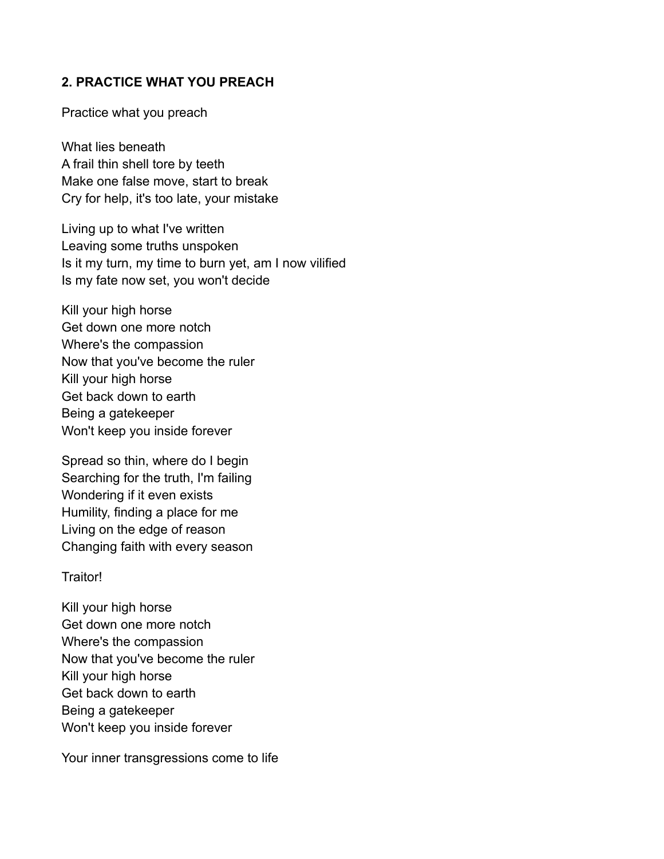# **2. PRACTICE WHAT YOU PREACH**

Practice what you preach

What lies beneath A frail thin shell tore by teeth Make one false move, start to break Cry for help, it's too late, your mistake

Living up to what I've written Leaving some truths unspoken Is it my turn, my time to burn yet, am I now vilified Is my fate now set, you won't decide

Kill your high horse Get down one more notch Where's the compassion Now that you've become the ruler Kill your high horse Get back down to earth Being a gatekeeper Won't keep you inside forever

Spread so thin, where do I begin Searching for the truth, I'm failing Wondering if it even exists Humility, finding a place for me Living on the edge of reason Changing faith with every season

Traitor!

Kill your high horse Get down one more notch Where's the compassion Now that you've become the ruler Kill your high horse Get back down to earth Being a gatekeeper Won't keep you inside forever

Your inner transgressions come to life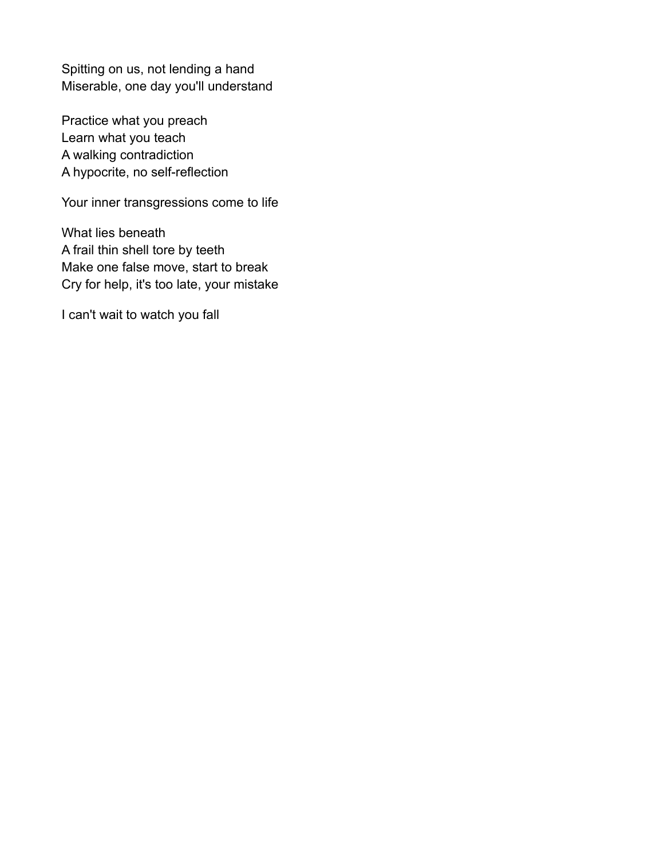Spitting on us, not lending a hand Miserable, one day you'll understand

Practice what you preach Learn what you teach A walking contradiction A hypocrite, no self-reflection

Your inner transgressions come to life

What lies beneath A frail thin shell tore by teeth Make one false move, start to break Cry for help, it's too late, your mistake

I can't wait to watch you fall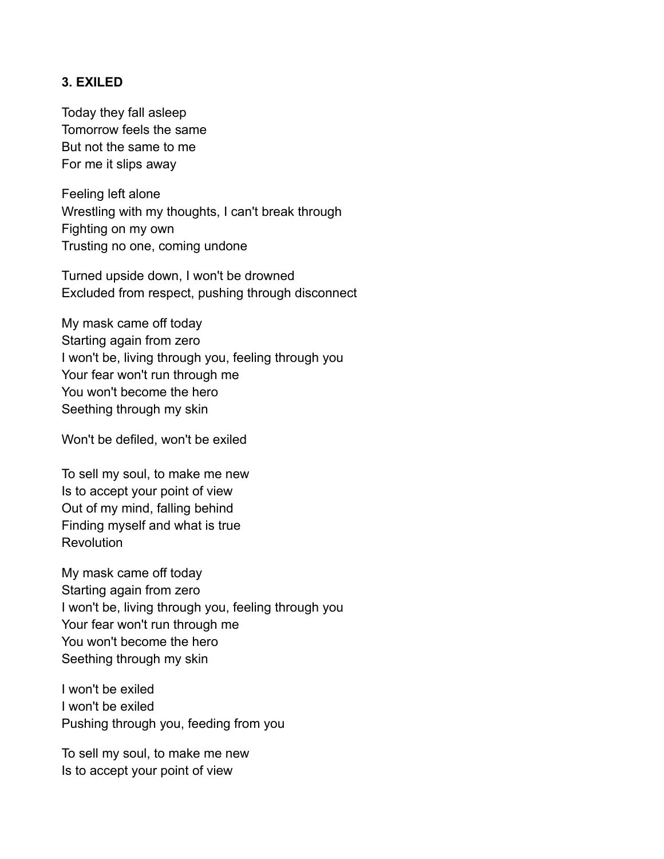### **3. EXILED**

Today they fall asleep Tomorrow feels the same But not the same to me For me it slips away

Feeling left alone Wrestling with my thoughts, I can't break through Fighting on my own Trusting no one, coming undone

Turned upside down, I won't be drowned Excluded from respect, pushing through disconnect

My mask came off today Starting again from zero I won't be, living through you, feeling through you Your fear won't run through me You won't become the hero Seething through my skin

Won't be defiled, won't be exiled

To sell my soul, to make me new Is to accept your point of view Out of my mind, falling behind Finding myself and what is true **Revolution** 

My mask came off today Starting again from zero I won't be, living through you, feeling through you Your fear won't run through me You won't become the hero Seething through my skin

I won't be exiled I won't be exiled Pushing through you, feeding from you

To sell my soul, to make me new Is to accept your point of view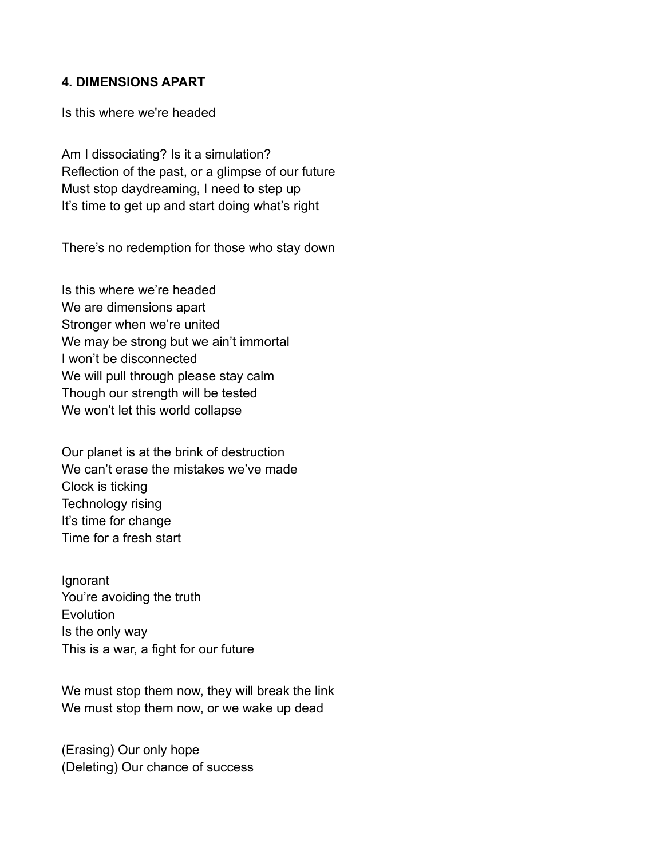#### **4. DIMENSIONS APART**

Is this where we're headed

Am I dissociating? Is it a simulation? Reflection of the past, or a glimpse of our future Must stop daydreaming, I need to step up It's time to get up and start doing what's right

There's no redemption for those who stay down

Is this where we're headed We are dimensions apart Stronger when we're united We may be strong but we ain't immortal I won't be disconnected We will pull through please stay calm Though our strength will be tested We won't let this world collapse

Our planet is at the brink of destruction We can't erase the mistakes we've made Clock is ticking Technology rising It's time for change Time for a fresh start

Ignorant You're avoiding the truth **Evolution** Is the only way This is a war, a fight for our future

We must stop them now, they will break the link We must stop them now, or we wake up dead

(Erasing) Our only hope (Deleting) Our chance of success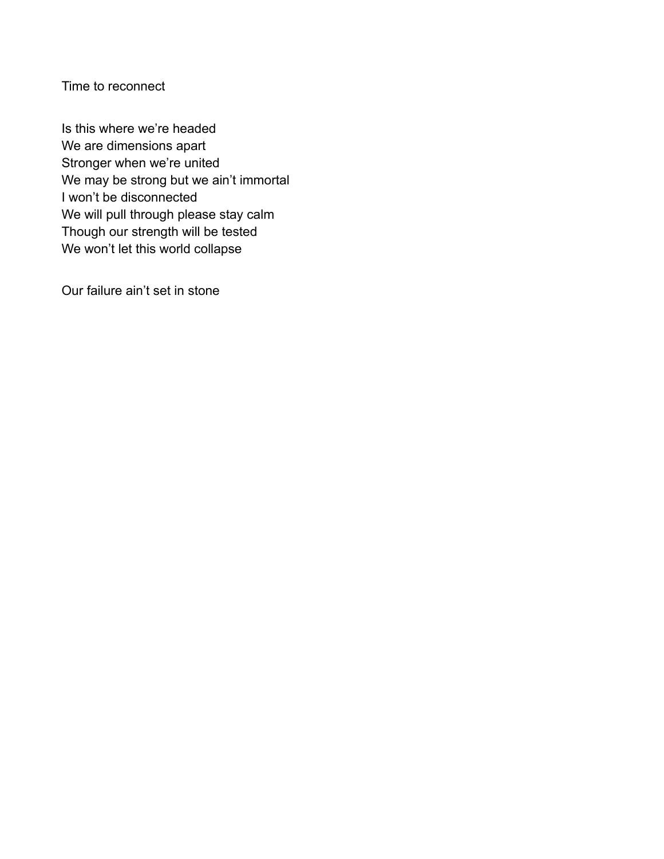Time to reconnect

Is this where we're headed We are dimensions apart Stronger when we're united We may be strong but we ain't immortal I won't be disconnected We will pull through please stay calm Though our strength will be tested We won't let this world collapse

Our failure ain't set in stone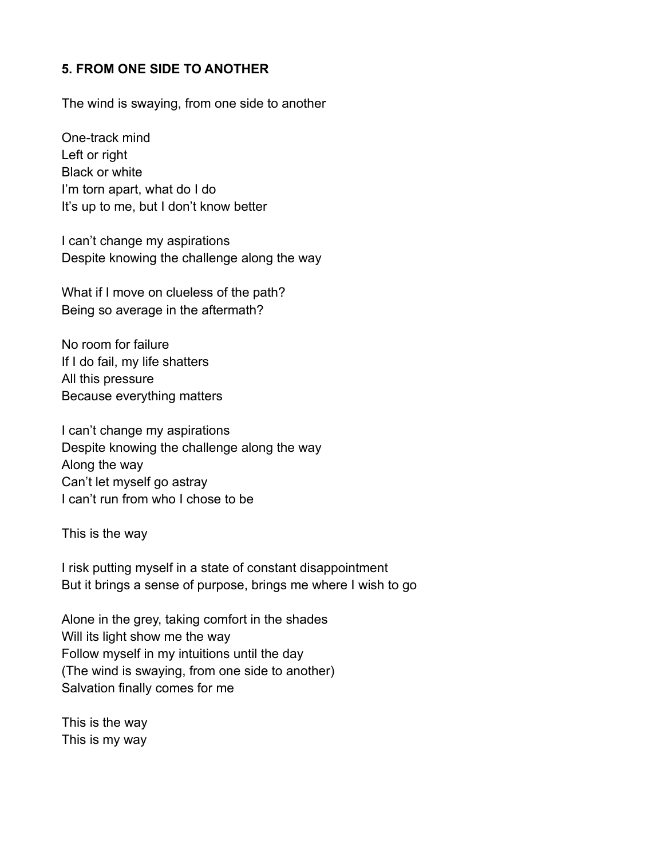### **5. FROM ONE SIDE TO ANOTHER**

The wind is swaying, from one side to another

One-track mind Left or right Black or white I'm torn apart, what do I do It's up to me, but I don't know better

I can't change my aspirations Despite knowing the challenge along the way

What if I move on clueless of the path? Being so average in the aftermath?

No room for failure If I do fail, my life shatters All this pressure Because everything matters

I can't change my aspirations Despite knowing the challenge along the way Along the way Can't let myself go astray I can't run from who I chose to be

This is the way

I risk putting myself in a state of constant disappointment But it brings a sense of purpose, brings me where I wish to go

Alone in the grey, taking comfort in the shades Will its light show me the way Follow myself in my intuitions until the day (The wind is swaying, from one side to another) Salvation finally comes for me

This is the way This is my way